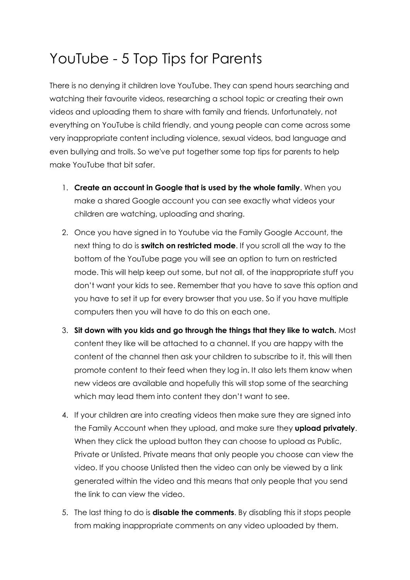## YouTube - 5 Top Tips for Parents

There is no denying it children love YouTube. They can spend hours searching and watching their favourite videos, researching a school topic or creating their own videos and uploading them to share with family and friends. Unfortunately, not everything on YouTube is child friendly, and young people can come across some very inappropriate content including violence, sexual videos, bad language and even bullying and trolls. So we've put together some top tips for parents to help make YouTube that bit safer.

- 1. **Create an account in Google that is used by the whole family**. When you make a shared Google account you can see exactly what videos your children are watching, uploading and sharing.
- 2. Once you have signed in to Youtube via the Family Google Account, the next thing to do is **switch on restricted mode**. If you scroll all the way to the bottom of the YouTube page you will see an option to turn on restricted mode. This will help keep out some, but not all, of the inappropriate stuff you don't want your kids to see. Remember that you have to save this option and you have to set it up for every browser that you use. So if you have multiple computers then you will have to do this on each one.
- 3. **Sit down with you kids and go through the things that they like to watch.** Most content they like will be attached to a channel. If you are happy with the content of the channel then ask your children to subscribe to it, this will then promote content to their feed when they log in. It also lets them know when new videos are available and hopefully this will stop some of the searching which may lead them into content they don't want to see.
- 4. If your children are into creating videos then make sure they are signed into the Family Account when they upload, and make sure they **upload privately**. When they click the upload button they can choose to upload as Public, Private or Unlisted. Private means that only people you choose can view the video. If you choose Unlisted then the video can only be viewed by a link generated within the video and this means that only people that you send the link to can view the video.
- 5. The last thing to do is **disable the comments**. By disabling this it stops people from making inappropriate comments on any video uploaded by them.